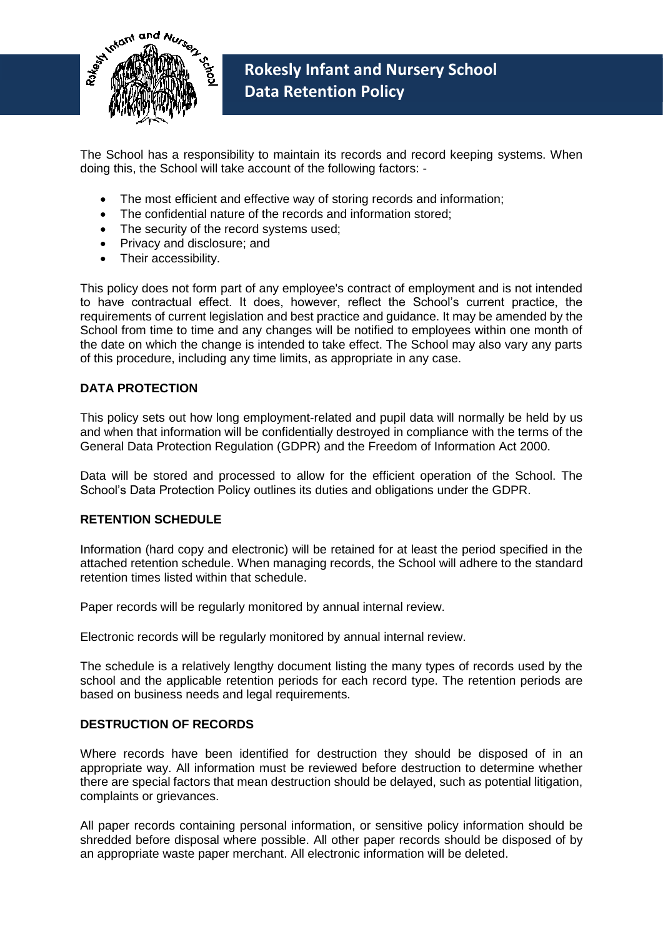

**Revised February 2017 Rokesly Infant and Nursery School Revised February 3 Data Retention Policy**

> The School has a responsibility to maintain its records and record keeping systems. When doing this, the School will take account of the following factors: -

- The most efficient and effective way of storing records and information;
- The confidential nature of the records and information stored:
- The security of the record systems used:
- Privacy and disclosure: and
- Their accessibility.

This policy does not form part of any employee's contract of employment and is not intended to have contractual effect. It does, however, reflect the School's current practice, the requirements of current legislation and best practice and guidance. It may be amended by the School from time to time and any changes will be notified to employees within one month of the date on which the change is intended to take effect. The School may also vary any parts of this procedure, including any time limits, as appropriate in any case.

## **DATA PROTECTION**

This policy sets out how long employment-related and pupil data will normally be held by us and when that information will be confidentially destroyed in compliance with the terms of the General Data Protection Regulation (GDPR) and the Freedom of Information Act 2000.

Data will be stored and processed to allow for the efficient operation of the School. The School's Data Protection Policy outlines its duties and obligations under the GDPR.

#### **RETENTION SCHEDULE**

Information (hard copy and electronic) will be retained for at least the period specified in the attached retention schedule. When managing records, the School will adhere to the standard retention times listed within that schedule.

Paper records will be regularly monitored by annual internal review.

Electronic records will be regularly monitored by annual internal review.

The schedule is a relatively lengthy document listing the many types of records used by the school and the applicable retention periods for each record type. The retention periods are based on business needs and legal requirements.

#### **DESTRUCTION OF RECORDS**

Where records have been identified for destruction they should be disposed of in an appropriate way. All information must be reviewed before destruction to determine whether there are special factors that mean destruction should be delayed, such as potential litigation, complaints or grievances.

All paper records containing personal information, or sensitive policy information should be shredded before disposal where possible. All other paper records should be disposed of by an appropriate waste paper merchant. All electronic information will be deleted.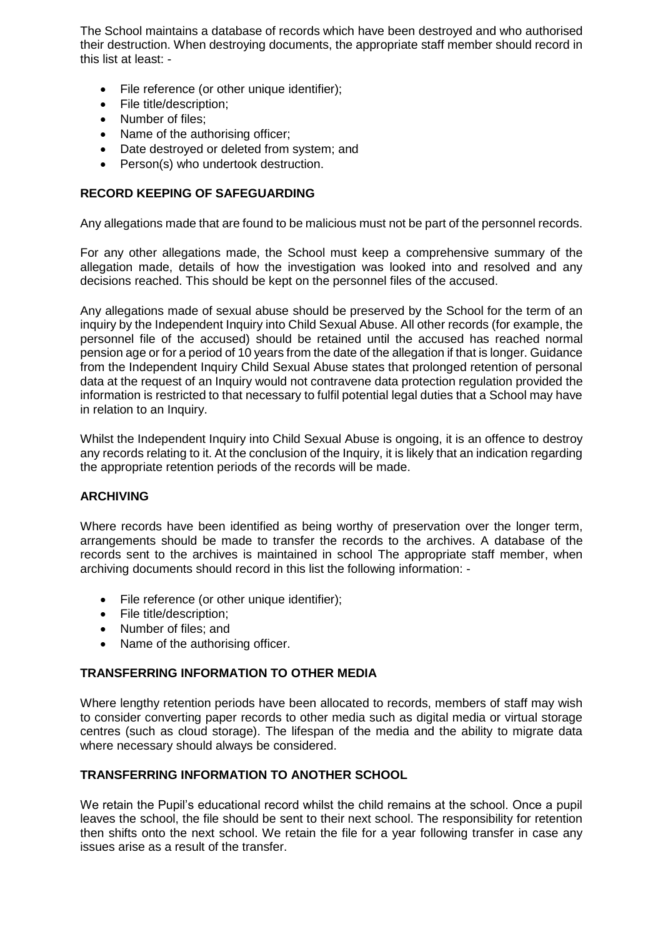The School maintains a database of records which have been destroyed and who authorised their destruction. When destroying documents, the appropriate staff member should record in this list at least: -

- File reference (or other unique identifier);
- File title/description;
- Number of files:
- Name of the authorising officer;
- Date destroyed or deleted from system; and
- Person(s) who undertook destruction.

## **RECORD KEEPING OF SAFEGUARDING**

Any allegations made that are found to be malicious must not be part of the personnel records.

For any other allegations made, the School must keep a comprehensive summary of the allegation made, details of how the investigation was looked into and resolved and any decisions reached. This should be kept on the personnel files of the accused.

Any allegations made of sexual abuse should be preserved by the School for the term of an inquiry by the Independent Inquiry into Child Sexual Abuse. All other records (for example, the personnel file of the accused) should be retained until the accused has reached normal pension age or for a period of 10 years from the date of the allegation if that is longer. Guidance from the Independent Inquiry Child Sexual Abuse states that prolonged retention of personal data at the request of an Inquiry would not contravene data protection regulation provided the information is restricted to that necessary to fulfil potential legal duties that a School may have in relation to an Inquiry.

Whilst the Independent Inquiry into Child Sexual Abuse is ongoing, it is an offence to destroy any records relating to it. At the conclusion of the Inquiry, it is likely that an indication regarding the appropriate retention periods of the records will be made.

## **ARCHIVING**

Where records have been identified as being worthy of preservation over the longer term, arrangements should be made to transfer the records to the archives. A database of the records sent to the archives is maintained in school The appropriate staff member, when archiving documents should record in this list the following information: -

- File reference (or other unique identifier):
- File title/description;
- Number of files: and
- Name of the authorising officer.

## **TRANSFERRING INFORMATION TO OTHER MEDIA**

Where lengthy retention periods have been allocated to records, members of staff may wish to consider converting paper records to other media such as digital media or virtual storage centres (such as cloud storage). The lifespan of the media and the ability to migrate data where necessary should always be considered.

## **TRANSFERRING INFORMATION TO ANOTHER SCHOOL**

We retain the Pupil's educational record whilst the child remains at the school. Once a pupil leaves the school, the file should be sent to their next school. The responsibility for retention then shifts onto the next school. We retain the file for a year following transfer in case any issues arise as a result of the transfer.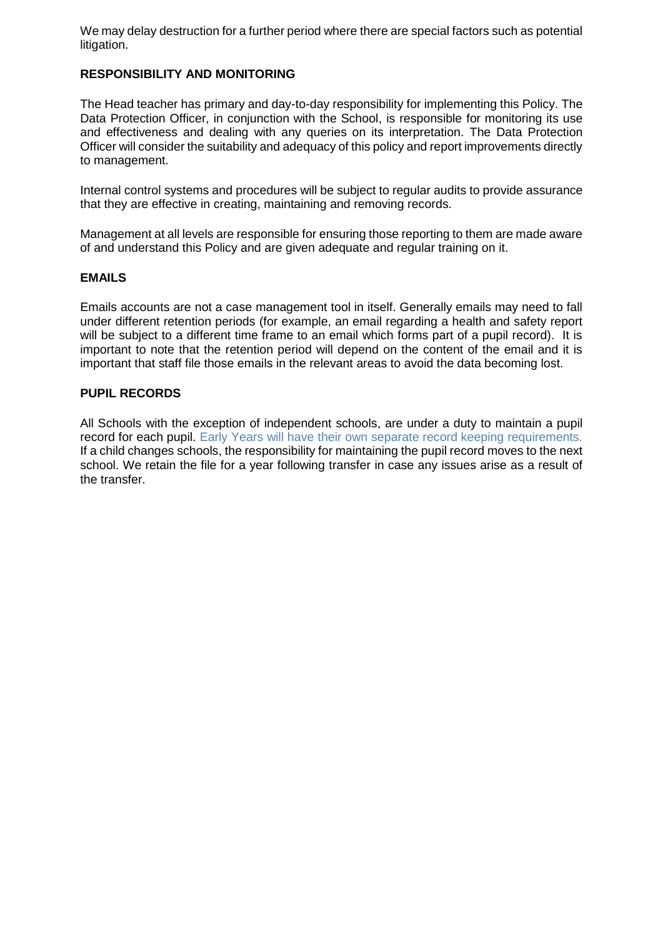We may delay destruction for a further period where there are special factors such as potential litigation.

# **RESPONSIBILITY AND MONITORING**

The Head teacher has primary and day-to-day responsibility for implementing this Policy. The Data Protection Officer, in conjunction with the School, is responsible for monitoring its use and effectiveness and dealing with any queries on its interpretation. The Data Protection Officer will consider the suitability and adequacy of this policy and report improvements directly to management.

Internal control systems and procedures will be subject to regular audits to provide assurance that they are effective in creating, maintaining and removing records.

Management at all levels are responsible for ensuring those reporting to them are made aware of and understand this Policy and are given adequate and regular training on it.

## **EMAILS**

Emails accounts are not a case management tool in itself. Generally emails may need to fall under different retention periods (for example, an email regarding a health and safety report will be subject to a different time frame to an email which forms part of a pupil record). It is important to note that the retention period will depend on the content of the email and it is important that staff file those emails in the relevant areas to avoid the data becoming lost.

## **PUPIL RECORDS**

All Schools with the exception of independent schools, are under a duty to maintain a pupil record for each pupil. Early Years will have their own separate record keeping requirements. If a child changes schools, the responsibility for maintaining the pupil record moves to the next school. We retain the file for a year following transfer in case any issues arise as a result of the transfer.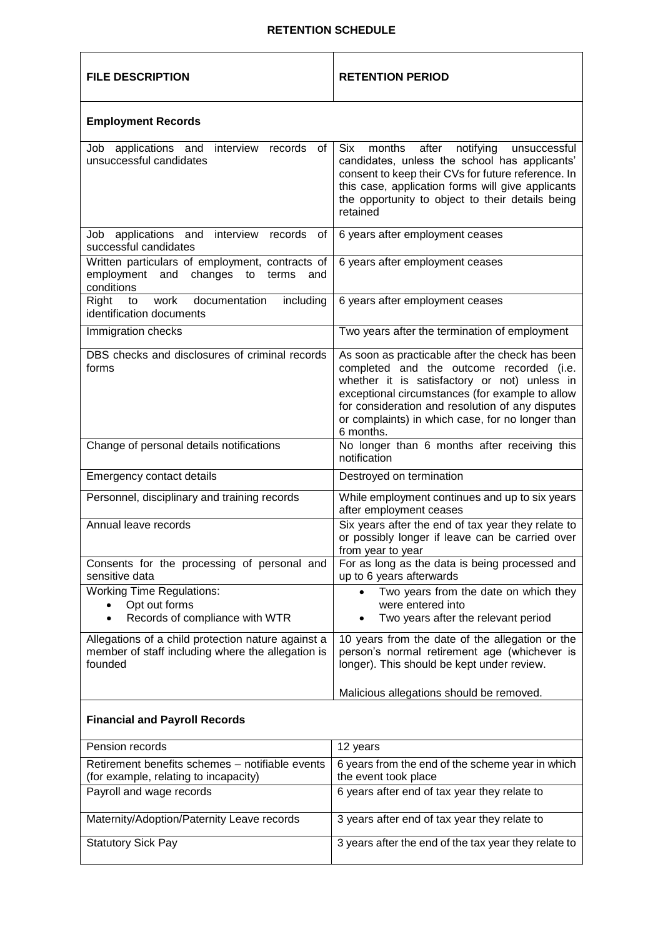#### **RETENTION SCHEDULE**

| <b>FILE DESCRIPTION</b>                                                                                             | <b>RETENTION PERIOD</b>                                                                                                                                                                                                                                                                                             |
|---------------------------------------------------------------------------------------------------------------------|---------------------------------------------------------------------------------------------------------------------------------------------------------------------------------------------------------------------------------------------------------------------------------------------------------------------|
| <b>Employment Records</b>                                                                                           |                                                                                                                                                                                                                                                                                                                     |
| Job applications and<br>interview<br>records<br>0f<br>unsuccessful candidates                                       | <b>Six</b><br>months<br>after<br>notifying<br>unsuccessful<br>candidates, unless the school has applicants'<br>consent to keep their CVs for future reference. In<br>this case, application forms will give applicants<br>the opportunity to object to their details being<br>retained                              |
| Job applications and<br>interview<br>records<br>οf<br>successful candidates                                         | 6 years after employment ceases                                                                                                                                                                                                                                                                                     |
| Written particulars of employment, contracts of<br>employment<br>changes<br>and<br>to<br>terms<br>and<br>conditions | 6 years after employment ceases                                                                                                                                                                                                                                                                                     |
| documentation<br>Right<br>work<br>including<br>to<br>identification documents                                       | 6 years after employment ceases                                                                                                                                                                                                                                                                                     |
| Immigration checks                                                                                                  | Two years after the termination of employment                                                                                                                                                                                                                                                                       |
| DBS checks and disclosures of criminal records<br>forms                                                             | As soon as practicable after the check has been<br>completed and the outcome recorded (i.e.<br>whether it is satisfactory or not) unless in<br>exceptional circumstances (for example to allow<br>for consideration and resolution of any disputes<br>or complaints) in which case, for no longer than<br>6 months. |
| Change of personal details notifications                                                                            | No longer than 6 months after receiving this<br>notification                                                                                                                                                                                                                                                        |
| Emergency contact details                                                                                           | Destroyed on termination                                                                                                                                                                                                                                                                                            |
| Personnel, disciplinary and training records                                                                        | While employment continues and up to six years<br>after employment ceases                                                                                                                                                                                                                                           |
| Annual leave records                                                                                                | Six years after the end of tax year they relate to<br>or possibly longer if leave can be carried over<br>from year to year                                                                                                                                                                                          |
| Consents for the processing of personal and<br>sensitive data                                                       | For as long as the data is being processed and<br>up to 6 years afterwards                                                                                                                                                                                                                                          |
| <b>Working Time Regulations:</b><br>Opt out forms<br>Records of compliance with WTR<br>$\bullet$                    | Two years from the date on which they<br>were entered into<br>Two years after the relevant period                                                                                                                                                                                                                   |
| Allegations of a child protection nature against a<br>member of staff including where the allegation is<br>founded  | 10 years from the date of the allegation or the<br>person's normal retirement age (whichever is<br>longer). This should be kept under review.                                                                                                                                                                       |
| Malicious allegations should be removed.<br><b>Financial and Payroll Records</b>                                    |                                                                                                                                                                                                                                                                                                                     |
| Pension records                                                                                                     | 12 years                                                                                                                                                                                                                                                                                                            |

| Pension records                                 | 12 years                                             |
|-------------------------------------------------|------------------------------------------------------|
| Retirement benefits schemes – notifiable events | 6 years from the end of the scheme year in which     |
| (for example, relating to incapacity)           | the event took place                                 |
| Payroll and wage records                        | 6 years after end of tax year they relate to         |
| Maternity/Adoption/Paternity Leave records      | 3 years after end of tax year they relate to         |
| <b>Statutory Sick Pay</b>                       | 3 years after the end of the tax year they relate to |